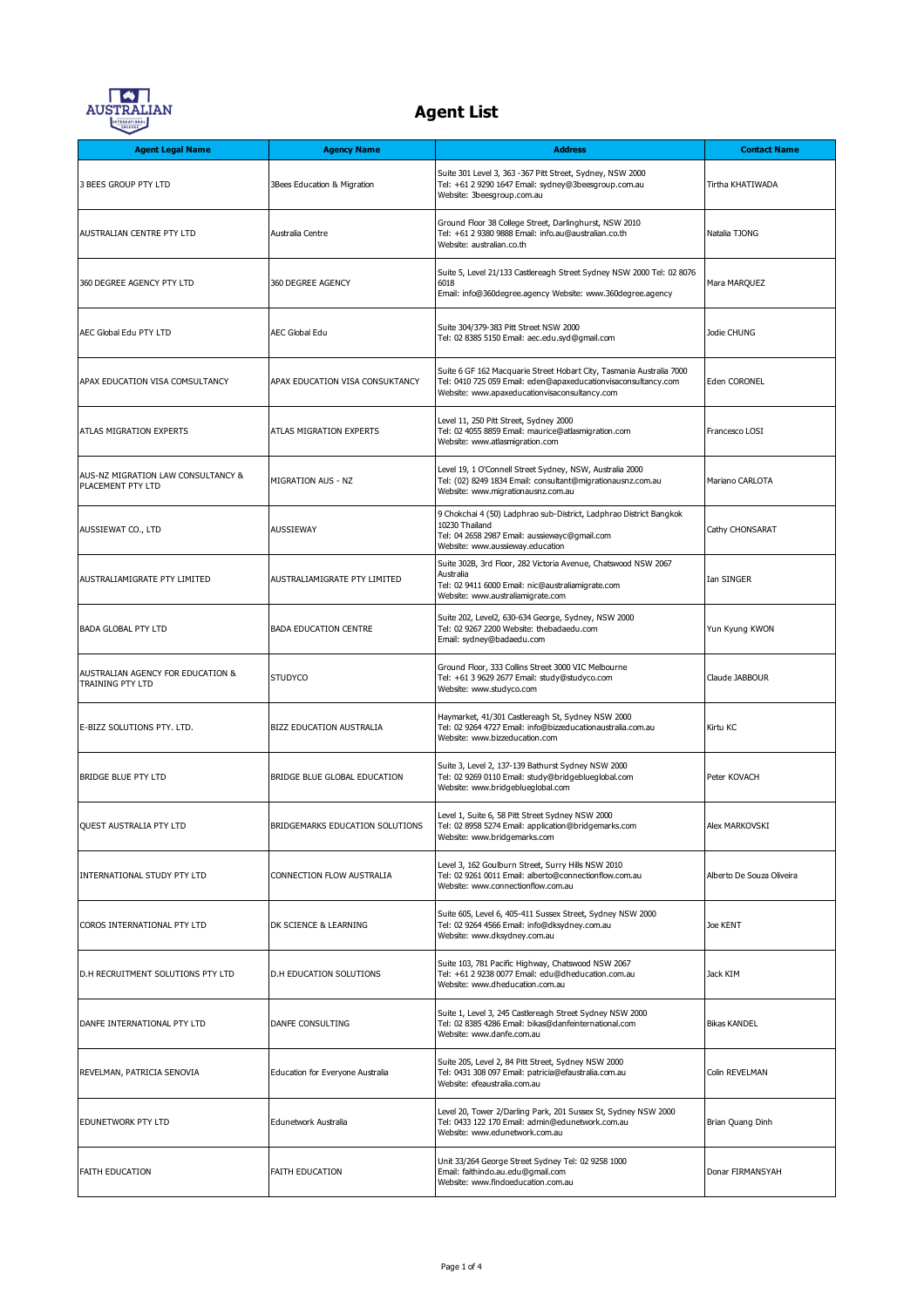

| <b>Agent Legal Name</b>                                 | <b>Agency Name</b>               | <b>Address</b>                                                                                                                                                                          | <b>Contact Name</b>       |
|---------------------------------------------------------|----------------------------------|-----------------------------------------------------------------------------------------------------------------------------------------------------------------------------------------|---------------------------|
| 3 BEES GROUP PTY LTD                                    | 3Bees Education & Migration      | Suite 301 Level 3, 363 - 367 Pitt Street, Sydney, NSW 2000<br>Tel: +61 2 9290 1647 Email: sydney@3beesgroup.com.au<br>Website: 3beesgroup.com.au                                        | Tirtha KHATIWADA          |
| AUSTRALIAN CENTRE PTY LTD                               | Australia Centre                 | Ground Floor 38 College Street, Darlinghurst, NSW 2010<br>Tel: +61 2 9380 9888 Email: info.au@australian.co.th<br>Website: australian.co.th                                             | Natalia TJONG             |
| 360 DEGREE AGENCY PTY LTD                               | 360 DEGREE AGENCY                | Suite 5, Level 21/133 Castlereagh Street Sydney NSW 2000 Tel: 02 8076<br>6018<br>Email: info@360degree.agency Website: www.360degree.agency                                             | Mara MARQUEZ              |
| AEC Global Edu PTY LTD                                  | AEC Global Edu                   | Suite 304/379-383 Pitt Street NSW 2000<br>Tel: 02 8385 5150 Email: aec.edu.syd@qmail.com                                                                                                | Jodie CHUNG               |
| APAX EDUCATION VISA COMSULTANCY                         | APAX EDUCATION VISA CONSUKTANCY  | Suite 6 GF 162 Macquarie Street Hobart City, Tasmania Australia 7000<br>Tel: 0410 725 059 Email: eden@apaxeducationvisaconsultancy.com<br>Website: www.apaxeducationvisaconsultancy.com | Eden CORONEL              |
| ATLAS MIGRATION EXPERTS                                 | ATLAS MIGRATION EXPERTS          | Level 11, 250 Pitt Street, Sydney 2000<br>Tel: 02 4055 8859 Email: maurice@atlasmigration.com<br>Website: www.atlasmigration.com                                                        | Francesco LOSI            |
| AUS-NZ MIGRATION LAW CONSULTANCY &<br>PLACEMENT PTY LTD | MIGRATION AUS - NZ               | Level 19, 1 O'Connell Street Sydney, NSW, Australia 2000<br>Tel: (02) 8249 1834 Email: consultant@migrationausnz.com.au<br>Website: www.migrationausnz.com.au                           | Mariano CARLOTA           |
| AUSSIEWAT CO., LTD                                      | AUSSIEWAY                        | 9 Chokchai 4 (50) Ladphrao sub-District, Ladphrao District Bangkok<br>10230 Thailand<br>Tel: 04 2658 2987 Email: aussiewayc@gmail.com<br>Website: www.aussieway.education               | Cathy CHONSARAT           |
| AUSTRALIAMIGRATE PTY LIMITED                            | AUSTRALIAMIGRATE PTY LIMITED     | Suite 302B, 3rd Floor, 282 Victoria Avenue, Chatswood NSW 2067<br>Australia<br>Tel: 02 9411 6000 Email: nic@australiamigrate.com<br>Website: www.australiamigrate.com                   | Ian SINGER                |
| <b>BADA GLOBAL PTY LTD</b>                              | <b>BADA EDUCATION CENTRE</b>     | Suite 202, Level2, 630-634 George, Sydney, NSW 2000<br>Tel: 02 9267 2200 Website: thebadaedu.com<br>Email: sydney@badaedu.com                                                           | Yun Kyung KWON            |
| AUSTRALIAN AGENCY FOR EDUCATION &<br>TRAINING PTY LTD   | <b>STUDYCO</b>                   | Ground Floor, 333 Collins Street 3000 VIC Melbourne<br>Tel: +61 3 9629 2677 Email: study@studyco.com<br>Website: www.studyco.com                                                        | Claude JABBOUR            |
| E-BIZZ SOLUTIONS PTY. LTD.                              | BIZZ EDUCATION AUSTRALIA         | Haymarket, 41/301 Castlereagh St, Sydney NSW 2000<br>Tel: 02 9264 4727 Email: info@bizzeducationaustralia.com.au<br>Website: www.bizzeducation.com                                      | Kirtu KC                  |
| <b>BRIDGE BLUE PTY LTD</b>                              | BRIDGE BLUE GLOBAL EDUCATION     | Suite 3, Level 2, 137-139 Bathurst Sydney NSW 2000<br>Tel: 02 9269 0110 Email: study@bridgeblueglobal.com<br>Website: www.bridgeblueglobal.com                                          | Peter KOVACH              |
| QUEST AUSTRALIA PTY LTD                                 | BRIDGEMARKS EDUCATION SOLUTIONS  | Level 1, Suite 6, 58 Pitt Street Sydney NSW 2000<br>Tel: 02 8958 5274 Email: application@bridgemarks.com<br>Website: www.bridgemarks.com                                                | Alex MARKOVSKI            |
| INTERNATIONAL STUDY PTY LTD                             | CONNECTION FLOW AUSTRALIA        | Level 3, 162 Goulburn Street, Surry Hills NSW 2010<br>Tel: 02 9261 0011 Email: alberto@connectionflow.com.au<br>Website: www.connectionflow.com.au                                      | Alberto De Souza Oliveira |
| COROS INTERNATIONAL PTY LTD                             | DK SCIENCE & LEARNING            | Suite 605, Level 6, 405-411 Sussex Street, Sydney NSW 2000<br>Tel: 02 9264 4566 Email: info@dksydney.com.au<br>Website: www.dksydney.com.au                                             | Joe KENT                  |
| D.H RECRUITMENT SOLUTIONS PTY LTD                       | <b>D.H EDUCATION SOLUTIONS</b>   | Suite 103, 781 Pacific Highway, Chatswood NSW 2067<br>Tel: +61 2 9238 0077 Email: edu@dheducation.com.au<br>Website: www.dheducation.com.au                                             | Jack KIM                  |
| DANFE INTERNATIONAL PTY LTD                             | DANFE CONSULTING                 | Suite 1, Level 3, 245 Castlereagh Street Sydney NSW 2000<br>Tel: 02 8385 4286 Email: bikas@danfeinternational.com<br>Website: www.danfe.com.au                                          | <b>Bikas KANDEL</b>       |
| REVELMAN, PATRICIA SENOVIA                              | Education for Everyone Australia | Suite 205, Level 2, 84 Pitt Street, Sydney NSW 2000<br>Tel: 0431 308 097 Email: patricia@efaustralia.com.au<br>Website: efeaustralia.com.au                                             | Colin REVELMAN            |
| EDUNETWORK PTY LTD                                      | Edunetwork Australia             | Level 20, Tower 2/Darling Park, 201 Sussex St, Sydney NSW 2000<br>Tel: 0433 122 170 Email: admin@edunetwork.com.au<br>Website: www.edunetwork.com.au                                    | Brian Quang Dinh          |
| FAITH EDUCATION                                         | FAITH EDUCATION                  | Unit 33/264 George Street Sydney Tel: 02 9258 1000<br>Email: faithindo.au.edu@gmail.com<br>Website: www.findoeducation.com.au                                                           | Donar FIRMANSYAH          |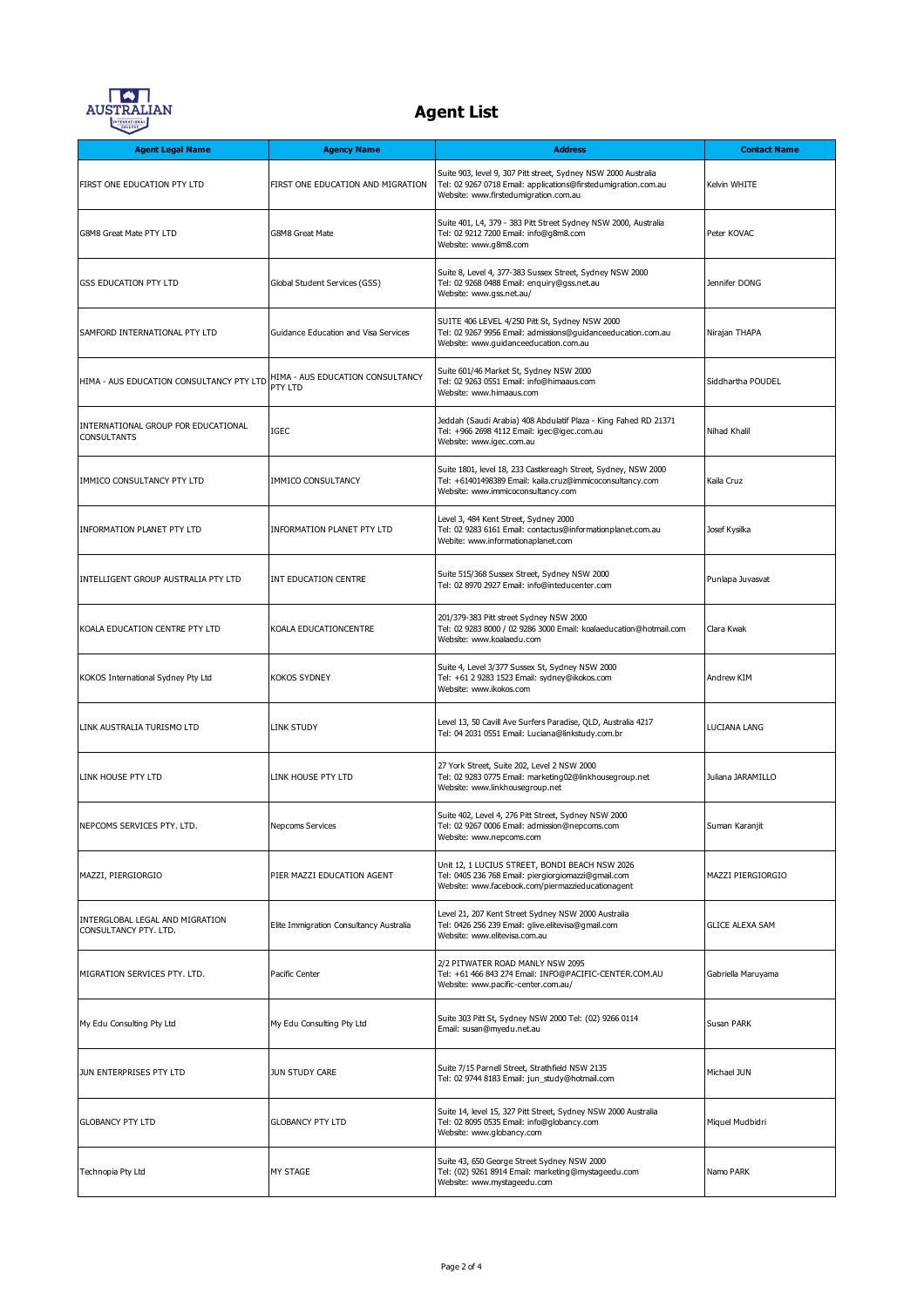

| <b>Agent Legal Name</b>                                   | <b>Agency Name</b>                          | <b>Address</b>                                                                                                                                                            | <b>Contact Name</b>      |
|-----------------------------------------------------------|---------------------------------------------|---------------------------------------------------------------------------------------------------------------------------------------------------------------------------|--------------------------|
| FIRST ONE EDUCATION PTY LTD                               | FIRST ONE EDUCATION AND MIGRATION           | Suite 903, level 9, 307 Pitt street, Sydney NSW 2000 Australia<br>Tel: 02 9267 0718 Email: applications@firstedumigration.com.au<br>Website: www.firstedumigration.com.au | Kelvin WHITE             |
| G8M8 Great Mate PTY LTD                                   | G8M8 Great Mate                             | Suite 401, L4, 379 - 383 Pitt Street Sydney NSW 2000, Australia<br>Tel: 02 9212 7200 Email: info@g8m8.com<br>Website: www.g8m8.com                                        | Peter KOVAC              |
| <b>GSS EDUCATION PTY LTD</b>                              | Global Student Services (GSS)               | Suite 8, Level 4, 377-383 Sussex Street, Sydney NSW 2000<br>Tel: 02 9268 0488 Email: enquiry@gss.net.au<br>Website: www.gss.net.au/                                       | Jennifer DONG            |
| SAMFORD INTERNATIONAL PTY LTD                             | Guidance Education and Visa Services        | SUITE 406 LEVEL 4/250 Pitt St, Sydney NSW 2000<br>Tel: 02 9267 9956 Email: admissions@guidanceeducation.com.au<br>Website: www.quidanceeducation.com.au                   | Nirajan THAPA            |
| HIMA - AUS EDUCATION CONSULTANCY PTY LTD                  | HIMA - AUS EDUCATION CONSULTANCY<br>PTY LTD | Suite 601/46 Market St, Sydney NSW 2000<br>Tel: 02 9263 0551 Email: info@himaaus.com<br>Website: www.himaaus.com                                                          | Siddhartha POUDEL        |
| INTERNATIONAL GROUP FOR EDUCATIONAL<br><b>CONSULTANTS</b> | IGEC                                        | Jeddah (Saudi Arabia) 408 Abdulatif Plaza - King Fahed RD 21371<br>Tel: +966 2698 4112 Email: igec@igec.com.au<br>Website: www.iqec.com.au                                | Nihad Khalil             |
| IMMICO CONSULTANCY PTY LTD                                | IMMICO CONSULTANCY                          | Suite 1801, level 18, 233 Castlereagh Street, Sydney, NSW 2000<br>Tel: +61401498389 Email: kaila.cruz@immicoconsultancy.com<br>Website: www.immicoconsultancy.com         | Kaila Cruz               |
| <b>INFORMATION PLANET PTY LTD</b>                         | INFORMATION PLANET PTY LTD                  | Level 3, 484 Kent Street, Sydney 2000<br>Tel: 02 9283 6161 Email: contactus@informationplanet.com.au<br>Webite: www.informationaplanet.com                                | Josef Kysilka            |
| INTELLIGENT GROUP AUSTRALIA PTY LTD                       | INT EDUCATION CENTRE                        | Suite 515/368 Sussex Street, Sydney NSW 2000<br>Tel: 02 8970 2927 Email: info@inteducenter.com                                                                            | Punlapa Juvasvat         |
| KOALA EDUCATION CENTRE PTY LTD                            | KOALA EDUCATIONCENTRE                       | 201/379-383 Pitt street Sydney NSW 2000<br>Tel: 02 9283 8000 / 02 9286 3000 Email: koalaeducation@hotmail.com<br>Website: www.koalaedu.com                                | Clara Kwak               |
| KOKOS International Sydney Pty Ltd                        | <b>KOKOS SYDNEY</b>                         | Suite 4, Level 3/377 Sussex St, Sydney NSW 2000<br>Tel: +61 2 9283 1523 Email: sydney@ikokos.com<br>Website: www.ikokos.com                                               | Andrew KIM               |
| LINK AUSTRALIA TURISMO LTD                                | LINK STUDY                                  | Level 13, 50 Cavill Ave Surfers Paradise, QLD, Australia 4217<br>Tel: 04 2031 0551 Email: Luciana@linkstudy.com.br                                                        | LUCIANA LANG             |
| LINK HOUSE PTY LTD                                        | LINK HOUSE PTY LTD                          | 27 York Street, Suite 202, Level 2 NSW 2000<br>Tel: 02 9283 0775 Email: marketing02@linkhousegroup.net<br>Website: www.linkhousegroup.net                                 | Juliana JARAMILLO        |
| NEPCOMS SERVICES PTY. LTD.                                | <b>Nepcoms Services</b>                     | Suite 402, Level 4, 276 Pitt Street, Sydney NSW 2000<br>Tel: 02 9267 0006 Email: admission@nepcoms.com<br>Website: www.nepcoms.com                                        | Suman Karanjit           |
| MAZZI, PIERGIORGIO                                        | PIER MAZZI EDUCATION AGENT                  | Unit 12, 1 LUCIUS STREET, BONDI BEACH NSW 2026<br>Tel: 0405 236 768 Email: piergiorgiomazzi@gmail.com<br>Website: www.facebook.com/piermazzieducationagent                | <b>MAZZI PIERGIORGIO</b> |
| INTERGLOBAL LEGAL AND MIGRATION<br>CONSULTANCY PTY, LTD.  | Elite Immigration Consultancy Australia     | Level 21, 207 Kent Street Sydney NSW 2000 Australia<br>Tel: 0426 256 239 Email: glive.elitevisa@gmail.com<br>Website: www.elitevisa.com.au                                | <b>GLICE ALEXA SAM</b>   |
| MIGRATION SERVICES PTY. LTD.                              | Pacific Center                              | 2/2 PITWATER ROAD MANLY NSW 2095<br>Tel: +61 466 843 274 Email: INFO@PACIFIC-CENTER.COM.AU<br>Website: www.pacific-center.com.au/                                         | Gabriella Maruyama       |
| My Edu Consulting Pty Ltd                                 | My Edu Consulting Pty Ltd                   | Suite 303 Pitt St, Sydney NSW 2000 Tel: (02) 9266 0114<br>Email: susan@myedu.net.au                                                                                       | Susan PARK               |
| JUN ENTERPRISES PTY LTD                                   | JUN STUDY CARE                              | Suite 7/15 Parnell Street, Strathfield NSW 2135<br>Tel: 02 9744 8183 Email: jun_study@hotmail.com                                                                         | Michael JUN              |
| <b>GLOBANCY PTY LTD</b>                                   | <b>GLOBANCY PTY LTD</b>                     | Suite 14, level 15, 327 Pitt Street, Sydney NSW 2000 Australia<br>Tel: 02 8095 0535 Email: info@globancy.com<br>Website: www.globancy.com                                 | Miquel Mudbidri          |
| Technopia Pty Ltd                                         | MY STAGE                                    | Suite 43, 650 George Street Sydney NSW 2000<br>Tel: (02) 9261 8914 Email: marketing@mystageedu.com<br>Website: www.mystageedu.com                                         | Namo PARK                |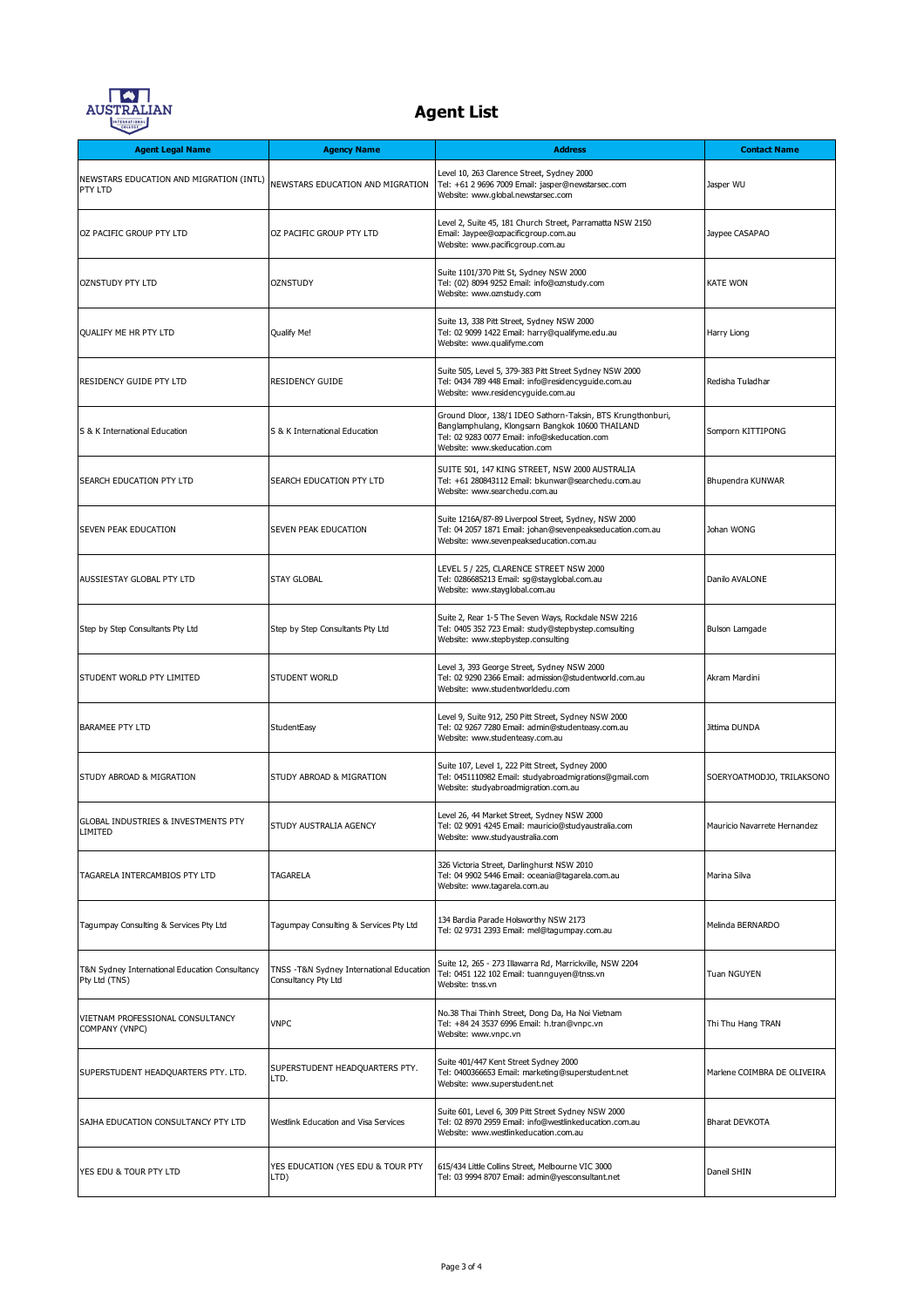

| <b>Agent Legal Name</b>                                         | <b>Agency Name</b>                                               | <b>Address</b>                                                                                                                                                                                   | <b>Contact Name</b>          |
|-----------------------------------------------------------------|------------------------------------------------------------------|--------------------------------------------------------------------------------------------------------------------------------------------------------------------------------------------------|------------------------------|
| NEWSTARS EDUCATION AND MIGRATION (INTL)<br>PTY LTD              | NEWSTARS EDUCATION AND MIGRATION                                 | Level 10, 263 Clarence Street, Sydney 2000<br>Tel: +61 2 9696 7009 Email: jasper@newstarsec.com<br>Website: www.global.newstarsec.com                                                            | Jasper WU                    |
| OZ PACIFIC GROUP PTY LTD                                        | OZ PACIFIC GROUP PTY LTD                                         | Level 2, Suite 45, 181 Church Street, Parramatta NSW 2150<br>Email: Jaypee@ozpacificgroup.com.au<br>Website: www.pacificgroup.com.au                                                             | Jaypee CASAPAO               |
| <b>OZNSTUDY PTY LTD</b>                                         | OZNSTUDY                                                         | Suite 1101/370 Pitt St, Sydney NSW 2000<br>Tel: (02) 8094 9252 Email: info@oznstudy.com<br>Website: www.oznstudy.com                                                                             | <b>KATE WON</b>              |
| QUALIFY ME HR PTY LTD                                           | Qualify Me!                                                      | Suite 13, 338 Pitt Street, Sydney NSW 2000<br>Tel: 02 9099 1422 Email: harry@qualifyme.edu.au<br>Website: www.qualifyme.com                                                                      | Harry Liong                  |
| RESIDENCY GUIDE PTY LTD                                         | <b>RESIDENCY GUIDE</b>                                           | Suite 505, Level 5, 379-383 Pitt Street Sydney NSW 2000<br>Tel: 0434 789 448 Email: info@residencyguide.com.au<br>Website: www.residencyguide.com.au                                             | Redisha Tuladhar             |
| S & K International Education                                   | S & K International Education                                    | Ground Dloor, 138/1 IDEO Sathorn-Taksin, BTS Krungthonburi,<br>Banglamphulang, Klongsarn Bangkok 10600 THAILAND<br>Tel: 02 9283 0077 Email: info@skeducation.com<br>Website: www.skeducation.com | Somporn KITTIPONG            |
| SEARCH EDUCATION PTY LTD                                        | SEARCH EDUCATION PTY LTD                                         | SUITE 501, 147 KING STREET, NSW 2000 AUSTRALIA<br>Tel: +61 280843112 Email: bkunwar@searchedu.com.au<br>Website: www.searchedu.com.au                                                            | Bhupendra KUNWAR             |
| SEVEN PEAK EDUCATION                                            | SEVEN PEAK EDUCATION                                             | Suite 1216A/87-89 Liverpool Street, Sydney, NSW 2000<br>Tel: 04 2057 1871 Email: johan@sevenpeakseducation.com.au<br>Website: www.sevenpeakseducation.com.au                                     | Johan WONG                   |
| AUSSIESTAY GLOBAL PTY LTD                                       | <b>STAY GLOBAL</b>                                               | LEVEL 5 / 225, CLARENCE STREET NSW 2000<br>Tel: 0286685213 Email: sg@stayglobal.com.au<br>Website: www.stayglobal.com.au                                                                         | Danilo AVALONE               |
| Step by Step Consultants Pty Ltd                                | Step by Step Consultants Pty Ltd                                 | Suite 2, Rear 1-5 The Seven Ways, Rockdale NSW 2216<br>Tel: 0405 352 723 Email: study@stepbystep.comsulting<br>Website: www.stepbystep.consulting                                                | Bulson Lamgade               |
| STUDENT WORLD PTY LIMITED                                       | <b>STUDENT WORLD</b>                                             | Level 3, 393 George Street, Sydney NSW 2000<br>Tel: 02 9290 2366 Email: admission@studentworld.com.au<br>Website: www.studentworldedu.com                                                        | Akram Mardini                |
| <b>BARAMEE PTY LTD</b>                                          | StudentEasy                                                      | Level 9, Suite 912, 250 Pitt Street, Sydney NSW 2000<br>Tel: 02 9267 7280 Email: admin@studenteasy.com.au<br>Website: www.studenteasy.com.au                                                     | Jittima DUNDA                |
| STUDY ABROAD & MIGRATION                                        | STUDY ABROAD & MIGRATION                                         | Suite 107, Level 1, 222 Pitt Street, Sydney 2000<br>Tel: 0451110982 Email: studyabroadmigrations@gmail.com<br>Website: studyabroadmigration.com.au                                               | SOERYOATMODJO, TRILAKSONO    |
| GLOBAL INDUSTRIES & INVESTMENTS PTY<br>IMITED.                  | STUDY AUSTRALIA AGENCY                                           | Level 26, 44 Market Street, Sydney NSW 2000<br>Tel: 02 9091 4245 Email: mauricio@studyaustralia.com<br>Website: www.studyaustralia.com                                                           | Mauricio Navarrete Hernandez |
| TAGARELA INTERCAMBIOS PTY LTD                                   | <b>TAGARELA</b>                                                  | 326 Victoria Street, Darlinghurst NSW 2010<br>Tel: 04 9902 5446 Email: oceania@tagarela.com.au<br>Website: www.tagarela.com.au                                                                   | Marina Silva                 |
| Tagumpay Consulting & Services Pty Ltd                          | Tagumpay Consulting & Services Pty Ltd                           | 134 Bardia Parade Holsworthy NSW 2173<br>Tel: 02 9731 2393 Email: mel@tagumpay.com.au                                                                                                            | Melinda BERNARDO             |
| T&N Sydney International Education Consultancy<br>Pty Ltd (TNS) | TNSS - T&N Sydney International Education<br>Consultancy Pty Ltd | Suite 12, 265 - 273 Illawarra Rd, Marrickville, NSW 2204<br>Tel: 0451 122 102 Email: tuannguyen@tnss.vn<br>Website: tnss.vn                                                                      | Tuan NGUYEN                  |
| VIETNAM PROFESSIONAL CONSULTANCY<br>COMPANY (VNPC)              | <b>VNPC</b>                                                      | No.38 Thai Thinh Street, Dong Da, Ha Noi Vietnam<br>Tel: +84 24 3537 6996 Email: h.tran@vnpc.vn<br>Website: www.vnpc.vn                                                                          | Thi Thu Hang TRAN            |
| SUPERSTUDENT HEADQUARTERS PTY. LTD.                             | SUPERSTUDENT HEADQUARTERS PTY.<br>LTD.                           | Suite 401/447 Kent Street Sydney 2000<br>Tel: 0400366653 Email: marketing@superstudent.net<br>Website: www.superstudent.net                                                                      | Marlene COIMBRA DE OLIVEIRA  |
| SAJHA EDUCATION CONSULTANCY PTY LTD                             | Westlink Education and Visa Services                             | Suite 601, Level 6, 309 Pitt Street Sydney NSW 2000<br>Tel: 02 8970 2959 Email: info@westlinkeducation.com.au<br>Website: www.westlinkeducation.com.au                                           | <b>Bharat DEVKOTA</b>        |
| YES EDU & TOUR PTY LTD                                          | YES EDUCATION (YES EDU & TOUR PTY<br>LTD)                        | 615/434 Little Collins Street, Melbourne VIC 3000<br>Tel: 03 9994 8707 Email: admin@yesconsultant.net                                                                                            | Daneil SHIN                  |